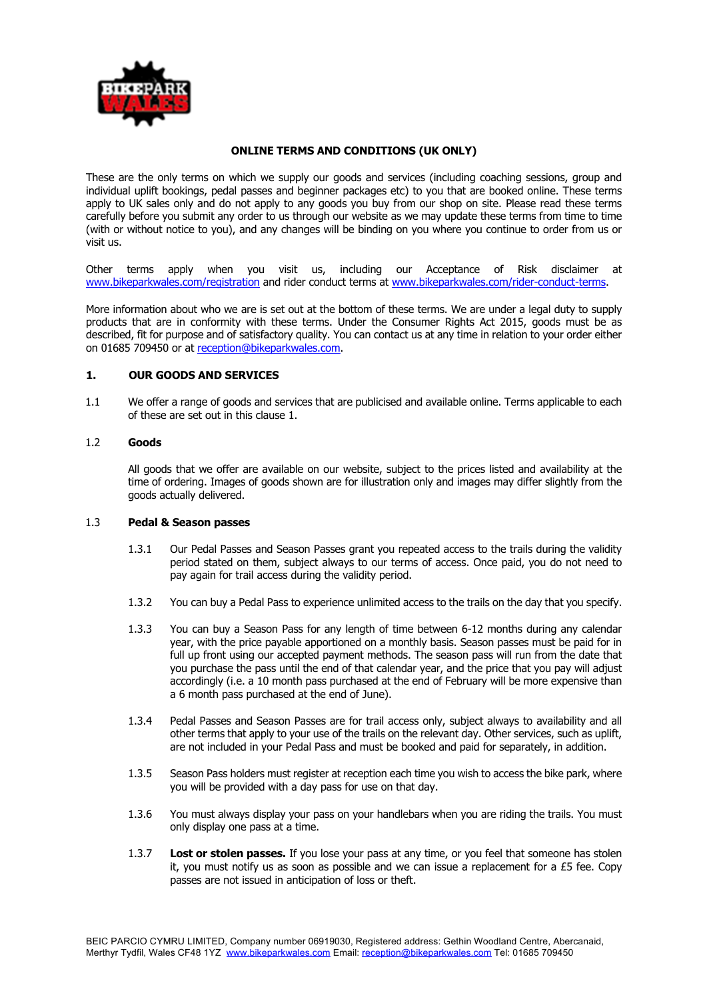

### **ONLINE TERMS AND CONDITIONS (UK ONLY)**

These are the only terms on which we supply our goods and services (including coaching sessions, group and individual uplift bookings, pedal passes and beginner packages etc) to you that are booked online. These terms apply to UK sales only and do not apply to any goods you buy from our shop on site. Please read these terms carefully before you submit any order to us through our website as we may update these terms from time to time (with or without notice to you), and any changes will be binding on you where you continue to order from us or visit us.

Other terms apply when you visit us, including our Acceptance of Risk disclaimer at www.bikeparkwales.com/registration and rider conduct terms at www.bikeparkwales.com/rider-conduct-terms.

More information about who we are is set out at the bottom of these terms. We are under a legal duty to supply products that are in conformity with these terms. Under the Consumer Rights Act 2015, goods must be as described, fit for purpose and of satisfactory quality. You can contact us at any time in relation to your order either on 01685 709450 or at reception@bikeparkwales.com.

## **1. OUR GOODS AND SERVICES**

1.1 We offer a range of goods and services that are publicised and available online. Terms applicable to each of these are set out in this clause 1.

#### 1.2 **Goods**

All goods that we offer are available on our website, subject to the prices listed and availability at the time of ordering. Images of goods shown are for illustration only and images may differ slightly from the goods actually delivered.

#### 1.3 **Pedal & Season passes**

- 1.3.1 Our Pedal Passes and Season Passes grant you repeated access to the trails during the validity period stated on them, subject always to our terms of access. Once paid, you do not need to pay again for trail access during the validity period.
- 1.3.2 You can buy a Pedal Pass to experience unlimited access to the trails on the day that you specify.
- 1.3.3 You can buy a Season Pass for any length of time between 6-12 months during any calendar year, with the price payable apportioned on a monthly basis. Season passes must be paid for in full up front using our accepted payment methods. The season pass will run from the date that you purchase the pass until the end of that calendar year, and the price that you pay will adjust accordingly (i.e. a 10 month pass purchased at the end of February will be more expensive than a 6 month pass purchased at the end of June).
- 1.3.4 Pedal Passes and Season Passes are for trail access only, subject always to availability and all other terms that apply to your use of the trails on the relevant day. Other services, such as uplift, are not included in your Pedal Pass and must be booked and paid for separately, in addition.
- 1.3.5 Season Pass holders must register at reception each time you wish to access the bike park, where you will be provided with a day pass for use on that day.
- 1.3.6 You must always display your pass on your handlebars when you are riding the trails. You must only display one pass at a time.
- 1.3.7 **Lost or stolen passes.** If you lose your pass at any time, or you feel that someone has stolen it, you must notify us as soon as possible and we can issue a replacement for a  $£5$  fee. Copy passes are not issued in anticipation of loss or theft.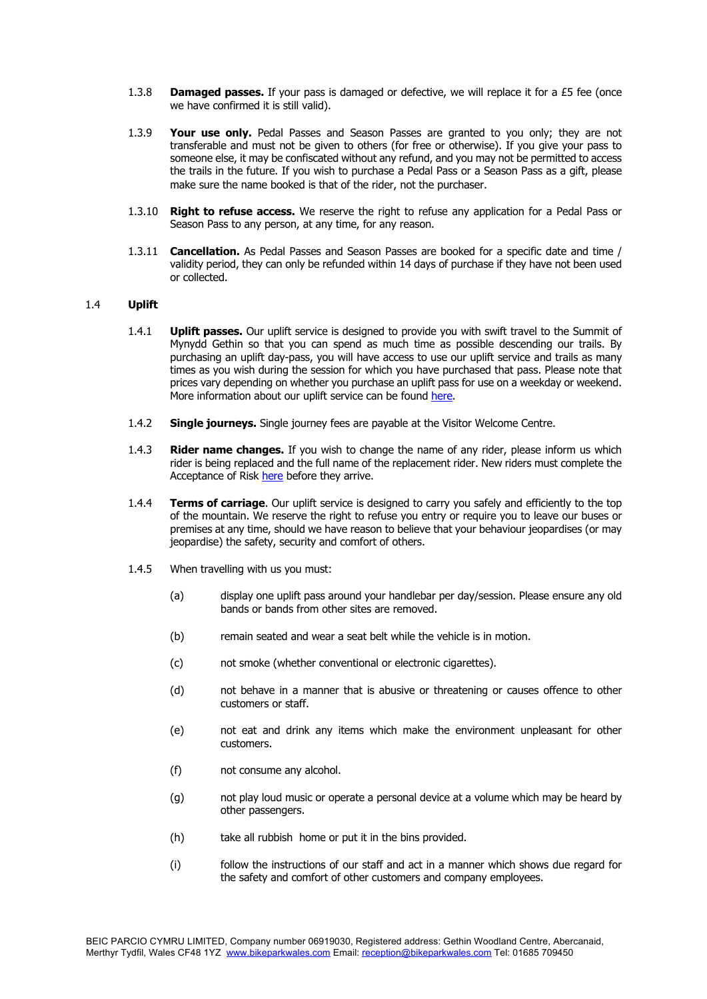- 1.3.8 **Damaged passes.** If your pass is damaged or defective, we will replace it for a £5 fee (once we have confirmed it is still valid).
- 1.3.9 **Your use only.** Pedal Passes and Season Passes are granted to you only; they are not transferable and must not be given to others (for free or otherwise). If you give your pass to someone else, it may be confiscated without any refund, and you may not be permitted to access the trails in the future. If you wish to purchase a Pedal Pass or a Season Pass as a gift, please make sure the name booked is that of the rider, not the purchaser.
- 1.3.10 **Right to refuse access.** We reserve the right to refuse any application for a Pedal Pass or Season Pass to any person, at any time, for any reason.
- 1.3.11 **Cancellation.** As Pedal Passes and Season Passes are booked for a specific date and time / validity period, they can only be refunded within 14 days of purchase if they have not been used or collected.

# 1.4 **Uplift**

- 1.4.1 **Uplift passes.** Our uplift service is designed to provide you with swift travel to the Summit of Mynydd Gethin so that you can spend as much time as possible descending our trails. By purchasing an uplift day-pass, you will have access to use our uplift service and trails as many times as you wish during the session for which you have purchased that pass. Please note that prices vary depending on whether you purchase an uplift pass for use on a weekday or weekend. More information about our uplift service can be found here.
- 1.4.2 **Single journeys.** Single journey fees are payable at the Visitor Welcome Centre.
- 1.4.3 **Rider name changes.** If you wish to change the name of any rider, please inform us which rider is being replaced and the full name of the replacement rider. New riders must complete the Acceptance of Risk here before they arrive.
- 1.4.4 **Terms of carriage**. Our uplift service is designed to carry you safely and efficiently to the top of the mountain. We reserve the right to refuse you entry or require you to leave our buses or premises at any time, should we have reason to believe that your behaviour jeopardises (or may jeopardise) the safety, security and comfort of others.
- 1.4.5 When travelling with us you must:
	- (a) display one uplift pass around your handlebar per day/session. Please ensure any old bands or bands from other sites are removed.
	- (b) remain seated and wear a seat belt while the vehicle is in motion.
	- (c) not smoke (whether conventional or electronic cigarettes).
	- (d) not behave in a manner that is abusive or threatening or causes offence to other customers or staff.
	- (e) not eat and drink any items which make the environment unpleasant for other customers.
	- (f) not consume any alcohol.
	- (g) not play loud music or operate a personal device at a volume which may be heard by other passengers.
	- (h) take all rubbish home or put it in the bins provided.
	- (i) follow the instructions of our staff and act in a manner which shows due regard for the safety and comfort of other customers and company employees.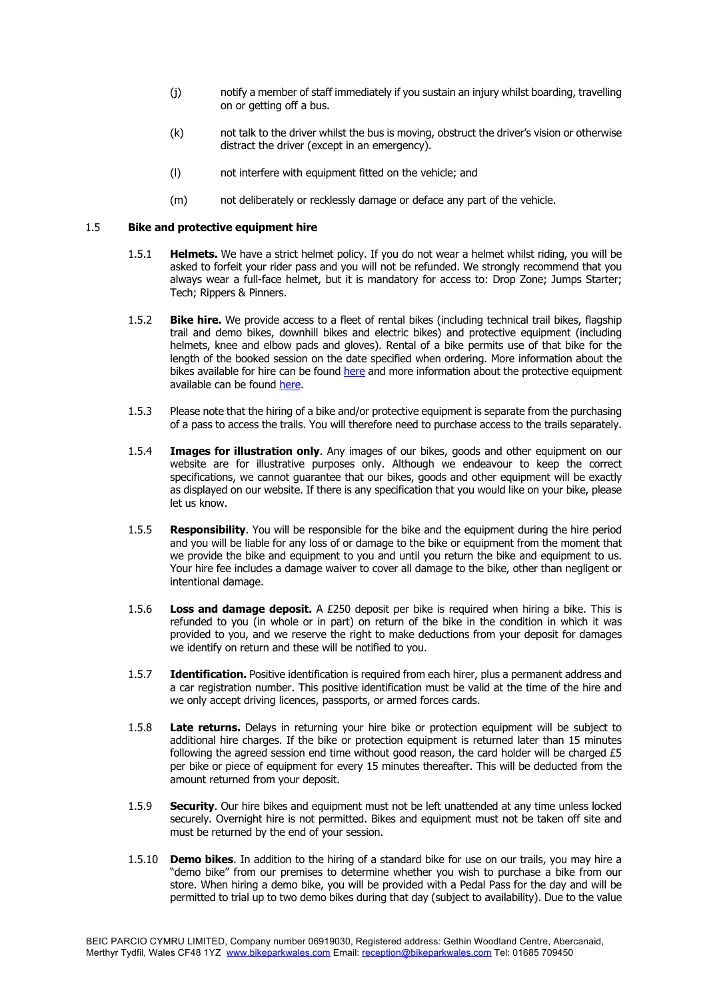- (j) notify a member of staff immediately if you sustain an injury whilst boarding, travelling on or getting off a bus.
- (k) not talk to the driver whilst the bus is moving, obstruct the driver's vision or otherwise distract the driver (except in an emergency).
- (l) not interfere with equipment fitted on the vehicle; and
- (m) not deliberately or recklessly damage or deface any part of the vehicle.

# 1.5 **Bike and protective equipment hire**

- 1.5.1 **Helmets.** We have a strict helmet policy. If you do not wear a helmet whilst riding, you will be asked to forfeit your rider pass and you will not be refunded. We strongly recommend that you always wear a full-face helmet, but it is mandatory for access to: Drop Zone; Jumps Starter; Tech; Rippers & Pinners.
- 1.5.2 **Bike hire.** We provide access to a fleet of rental bikes (including technical trail bikes, flagship trail and demo bikes, downhill bikes and electric bikes) and protective equipment (including helmets, knee and elbow pads and gloves). Rental of a bike permits use of that bike for the length of the booked session on the date specified when ordering. More information about the bikes available for hire can be found here and more information about the protective equipment available can be found here.
- 1.5.3 Please note that the hiring of a bike and/or protective equipment is separate from the purchasing of a pass to access the trails. You will therefore need to purchase access to the trails separately.
- 1.5.4 **Images for illustration only**. Any images of our bikes, goods and other equipment on our website are for illustrative purposes only. Although we endeavour to keep the correct specifications, we cannot quarantee that our bikes, goods and other equipment will be exactly as displayed on our website. If there is any specification that you would like on your bike, please let us know.
- 1.5.5 **Responsibility**. You will be responsible for the bike and the equipment during the hire period and you will be liable for any loss of or damage to the bike or equipment from the moment that we provide the bike and equipment to you and until you return the bike and equipment to us. Your hire fee includes a damage waiver to cover all damage to the bike, other than negligent or intentional damage.
- 1.5.6 **Loss and damage deposit.** A £250 deposit per bike is required when hiring a bike. This is refunded to you (in whole or in part) on return of the bike in the condition in which it was provided to you, and we reserve the right to make deductions from your deposit for damages we identify on return and these will be notified to you.
- 1.5.7 **Identification.** Positive identification is required from each hirer, plus a permanent address and a car registration number. This positive identification must be valid at the time of the hire and we only accept driving licences, passports, or armed forces cards.
- 1.5.8 **Late returns.** Delays in returning your hire bike or protection equipment will be subject to additional hire charges. If the bike or protection equipment is returned later than 15 minutes following the agreed session end time without good reason, the card holder will be charged £5 per bike or piece of equipment for every 15 minutes thereafter. This will be deducted from the amount returned from your deposit.
- 1.5.9 **Security**. Our hire bikes and equipment must not be left unattended at any time unless locked securely. Overnight hire is not permitted. Bikes and equipment must not be taken off site and must be returned by the end of your session.
- 1.5.10 **Demo bikes**. In addition to the hiring of a standard bike for use on our trails, you may hire a "demo bike" from our premises to determine whether you wish to purchase a bike from our store. When hiring a demo bike, you will be provided with a Pedal Pass for the day and will be permitted to trial up to two demo bikes during that day (subject to availability). Due to the value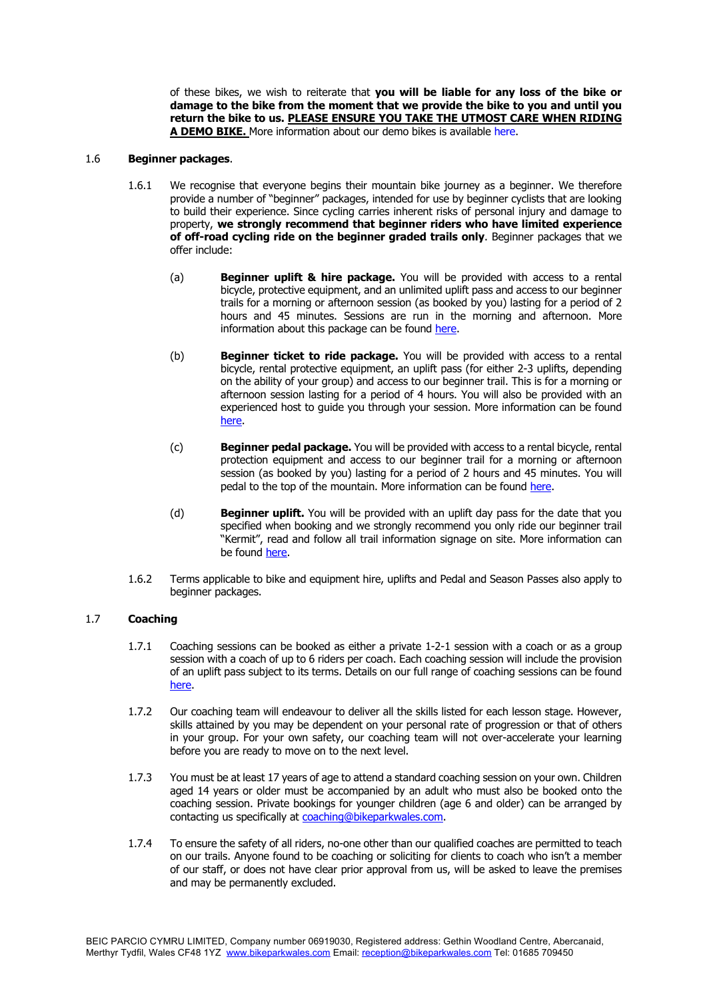of these bikes, we wish to reiterate that **you will be liable for any loss of the bike or damage to the bike from the moment that we provide the bike to you and until you return the bike to us. PLEASE ENSURE YOU TAKE THE UTMOST CARE WHEN RIDING A DEMO BIKE.** More information about our demo bikes is available here.

#### 1.6 **Beginner packages**.

- 1.6.1 We recognise that everyone begins their mountain bike journey as a beginner. We therefore provide a number of "beginner" packages, intended for use by beginner cyclists that are looking to build their experience. Since cycling carries inherent risks of personal injury and damage to property, **we strongly recommend that beginner riders who have limited experience of off-road cycling ride on the beginner graded trails only**. Beginner packages that we offer include:
	- (a) **Beginner uplift & hire package.** You will be provided with access to a rental bicycle, protective equipment, and an unlimited uplift pass and access to our beginner trails for a morning or afternoon session (as booked by you) lasting for a period of 2 hours and 45 minutes. Sessions are run in the morning and afternoon. More information about this package can be found here.
	- (b) **Beginner ticket to ride package.** You will be provided with access to a rental bicycle, rental protective equipment, an uplift pass (for either 2-3 uplifts, depending on the ability of your group) and access to our beginner trail. This is for a morning or afternoon session lasting for a period of 4 hours. You will also be provided with an experienced host to guide you through your session. More information can be found here.
	- (c) **Beginner pedal package.** You will be provided with access to a rental bicycle, rental protection equipment and access to our beginner trail for a morning or afternoon session (as booked by you) lasting for a period of 2 hours and 45 minutes. You will pedal to the top of the mountain. More information can be found here.
	- (d) **Beginner uplift.** You will be provided with an uplift day pass for the date that you specified when booking and we strongly recommend you only ride our beginner trail "Kermit", read and follow all trail information signage on site. More information can be found here.
- 1.6.2 Terms applicable to bike and equipment hire, uplifts and Pedal and Season Passes also apply to beginner packages.

### 1.7 **Coaching**

- 1.7.1 Coaching sessions can be booked as either a private 1-2-1 session with a coach or as a group session with a coach of up to 6 riders per coach. Each coaching session will include the provision of an uplift pass subject to its terms. Details on our full range of coaching sessions can be found here.
- 1.7.2 Our coaching team will endeavour to deliver all the skills listed for each lesson stage. However, skills attained by you may be dependent on your personal rate of progression or that of others in your group. For your own safety, our coaching team will not over-accelerate your learning before you are ready to move on to the next level.
- 1.7.3 You must be at least 17 years of age to attend a standard coaching session on your own. Children aged 14 years or older must be accompanied by an adult who must also be booked onto the coaching session. Private bookings for younger children (age 6 and older) can be arranged by contacting us specifically at coaching@bikeparkwales.com.
- 1.7.4 To ensure the safety of all riders, no-one other than our qualified coaches are permitted to teach on our trails. Anyone found to be coaching or soliciting for clients to coach who isn't a member of our staff, or does not have clear prior approval from us, will be asked to leave the premises and may be permanently excluded.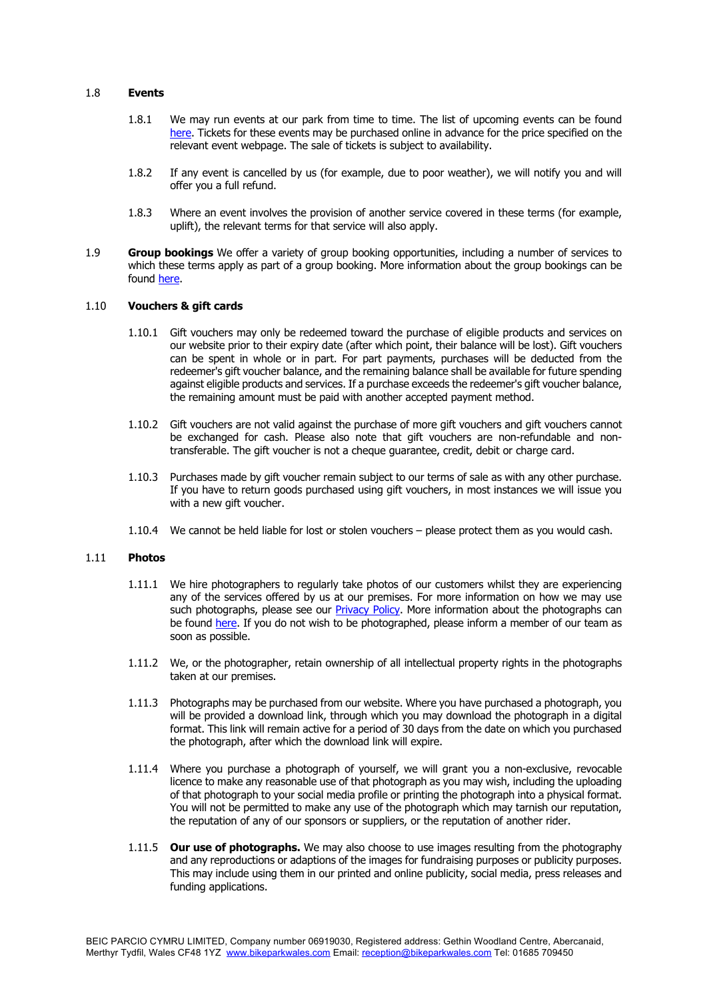#### 1.8 **Events**

- 1.8.1 We may run events at our park from time to time. The list of upcoming events can be found here. Tickets for these events may be purchased online in advance for the price specified on the relevant event webpage. The sale of tickets is subject to availability.
- 1.8.2 If any event is cancelled by us (for example, due to poor weather), we will notify you and will offer you a full refund.
- 1.8.3 Where an event involves the provision of another service covered in these terms (for example, uplift), the relevant terms for that service will also apply.
- 1.9 **Group bookings** We offer a variety of group booking opportunities, including a number of services to which these terms apply as part of a group booking. More information about the group bookings can be found here.

### 1.10 **Vouchers & gift cards**

- 1.10.1 Gift vouchers may only be redeemed toward the purchase of eligible products and services on our website prior to their expiry date (after which point, their balance will be lost). Gift vouchers can be spent in whole or in part. For part payments, purchases will be deducted from the redeemer's gift voucher balance, and the remaining balance shall be available for future spending against eligible products and services. If a purchase exceeds the redeemer's gift voucher balance, the remaining amount must be paid with another accepted payment method.
- 1.10.2 Gift vouchers are not valid against the purchase of more gift vouchers and gift vouchers cannot be exchanged for cash. Please also note that gift vouchers are non-refundable and nontransferable. The gift voucher is not a cheque guarantee, credit, debit or charge card.
- 1.10.3 Purchases made by gift voucher remain subject to our terms of sale as with any other purchase. If you have to return goods purchased using gift vouchers, in most instances we will issue you with a new gift voucher.
- 1.10.4 We cannot be held liable for lost or stolen vouchers please protect them as you would cash.

#### 1.11 **Photos**

- 1.11.1 We hire photographers to regularly take photos of our customers whilst they are experiencing any of the services offered by us at our premises. For more information on how we may use such photographs, please see our Privacy Policy. More information about the photographs can be found here. If you do not wish to be photographed, please inform a member of our team as soon as possible.
- 1.11.2 We, or the photographer, retain ownership of all intellectual property rights in the photographs taken at our premises.
- 1.11.3 Photographs may be purchased from our website. Where you have purchased a photograph, you will be provided a download link, through which you may download the photograph in a digital format. This link will remain active for a period of 30 days from the date on which you purchased the photograph, after which the download link will expire.
- 1.11.4 Where you purchase a photograph of yourself, we will grant you a non-exclusive, revocable licence to make any reasonable use of that photograph as you may wish, including the uploading of that photograph to your social media profile or printing the photograph into a physical format. You will not be permitted to make any use of the photograph which may tarnish our reputation, the reputation of any of our sponsors or suppliers, or the reputation of another rider.
- 1.11.5 **Our use of photographs.** We may also choose to use images resulting from the photography and any reproductions or adaptions of the images for fundraising purposes or publicity purposes. This may include using them in our printed and online publicity, social media, press releases and funding applications.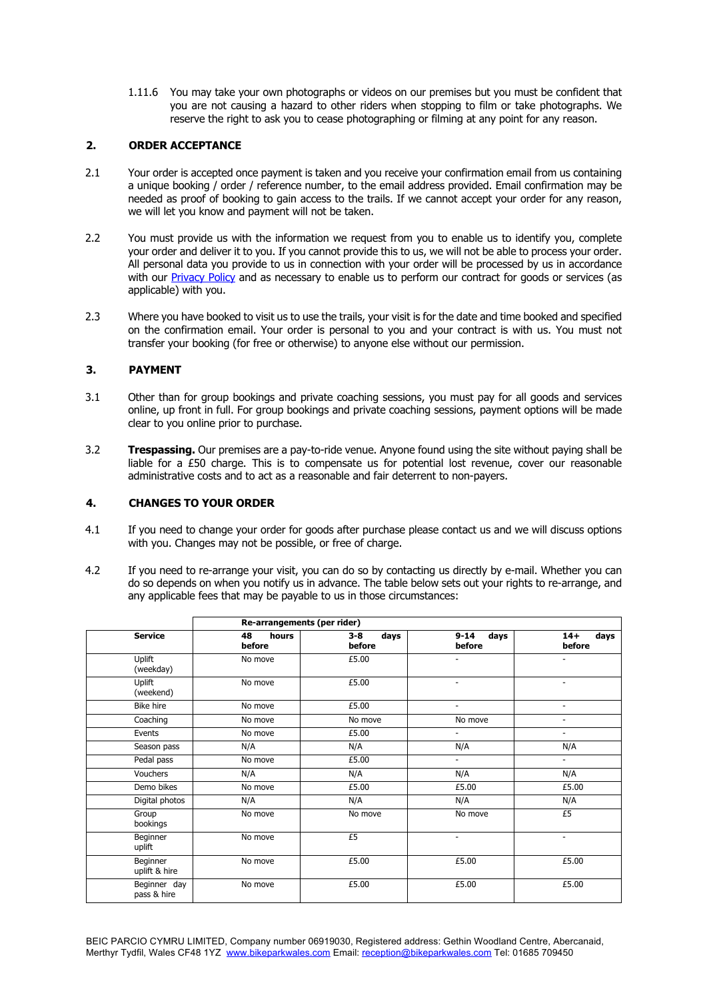1.11.6 You may take your own photographs or videos on our premises but you must be confident that you are not causing a hazard to other riders when stopping to film or take photographs. We reserve the right to ask you to cease photographing or filming at any point for any reason.

# **2. ORDER ACCEPTANCE**

- 2.1 Your order is accepted once payment is taken and you receive your confirmation email from us containing a unique booking / order / reference number, to the email address provided. Email confirmation may be needed as proof of booking to gain access to the trails. If we cannot accept your order for any reason, we will let you know and payment will not be taken.
- 2.2 You must provide us with the information we request from you to enable us to identify you, complete your order and deliver it to you. If you cannot provide this to us, we will not be able to process your order. All personal data you provide to us in connection with your order will be processed by us in accordance with our Privacy Policy and as necessary to enable us to perform our contract for goods or services (as applicable) with you.
- 2.3 Where you have booked to visit us to use the trails, your visit is for the date and time booked and specified on the confirmation email. Your order is personal to you and your contract is with us. You must not transfer your booking (for free or otherwise) to anyone else without our permission.

## **3. PAYMENT**

- 3.1 Other than for group bookings and private coaching sessions, you must pay for all goods and services online, up front in full. For group bookings and private coaching sessions, payment options will be made clear to you online prior to purchase.
- 3.2 **Trespassing.** Our premises are a pay-to-ride venue. Anyone found using the site without paying shall be liable for a £50 charge. This is to compensate us for potential lost revenue, cover our reasonable administrative costs and to act as a reasonable and fair deterrent to non-payers.

### **4. CHANGES TO YOUR ORDER**

- 4.1 If you need to change your order for goods after purchase please contact us and we will discuss options with you. Changes may not be possible, or free of charge.
- 4.2 If you need to re-arrange your visit, you can do so by contacting us directly by e-mail. Whether you can do so depends on when you notify us in advance. The table below sets out your rights to re-arrange, and any applicable fees that may be payable to us in those circumstances:

| <b>Service</b>              | Re-arrangements (per rider) |                           |                            |                          |  |
|-----------------------------|-----------------------------|---------------------------|----------------------------|--------------------------|--|
|                             | 48<br>hours<br>before       | days<br>$3 - 8$<br>before | $9 - 14$<br>days<br>before | $14+$<br>days<br>before  |  |
| Uplift<br>(weekday)         | No move                     | £5.00                     | ٠                          |                          |  |
| Uplift<br>(weekend)         | No move                     | £5.00                     | ٠                          |                          |  |
| <b>Bike hire</b>            | No move                     | £5.00                     | $\overline{a}$             | ۰.                       |  |
| Coaching                    | No move                     | No move                   | No move                    |                          |  |
| Events                      | No move                     | £5.00                     | $\blacksquare$             | ٠.                       |  |
| Season pass                 | N/A                         | N/A                       | N/A                        | N/A                      |  |
| Pedal pass                  | No move                     | £5.00                     | $\overline{\phantom{0}}$   | $\sim$                   |  |
| Vouchers                    | N/A                         | N/A                       | N/A                        | N/A                      |  |
| Demo bikes                  | No move                     | £5.00                     | £5.00                      | £5.00                    |  |
| Digital photos              | N/A                         | N/A                       | N/A                        | N/A                      |  |
| Group<br>bookings           | No move                     | No move                   | No move                    | £5                       |  |
| Beginner<br>uplift          | No move                     | £5                        | $\overline{\phantom{a}}$   | $\overline{\phantom{a}}$ |  |
| Beginner<br>uplift & hire   | No move                     | £5.00                     | £5.00                      | £5.00                    |  |
| Beginner day<br>pass & hire | No move                     | £5.00                     | £5.00                      | £5.00                    |  |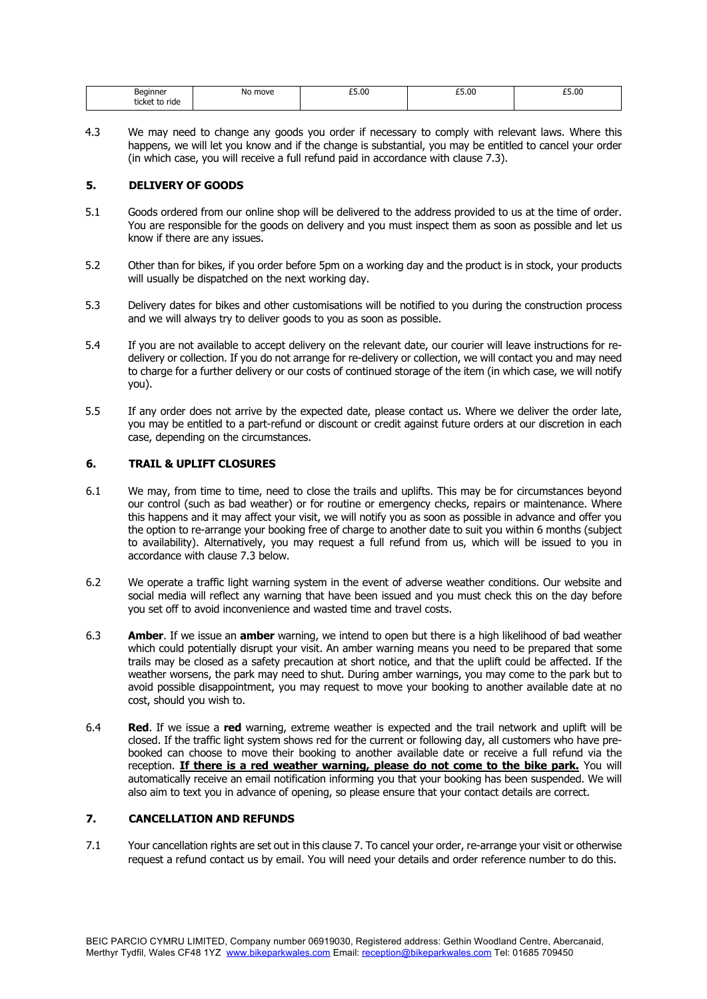| Beginner<br>__<br>. .<br>ride.<br>ticke<br><b>A</b> | No.<br>move<br>$\sim$ $\sim$ $\sim$ $\sim$ | £5.00 | £5.00 | £5.00 |
|-----------------------------------------------------|--------------------------------------------|-------|-------|-------|
|                                                     |                                            |       |       |       |

4.3 We may need to change any goods you order if necessary to comply with relevant laws. Where this happens, we will let you know and if the change is substantial, you may be entitled to cancel your order (in which case, you will receive a full refund paid in accordance with clause 7.3).

## **5. DELIVERY OF GOODS**

- 5.1 Goods ordered from our online shop will be delivered to the address provided to us at the time of order. You are responsible for the goods on delivery and you must inspect them as soon as possible and let us know if there are any issues.
- 5.2 Other than for bikes, if you order before 5pm on a working day and the product is in stock, your products will usually be dispatched on the next working day.
- 5.3 Delivery dates for bikes and other customisations will be notified to you during the construction process and we will always try to deliver goods to you as soon as possible.
- 5.4 If you are not available to accept delivery on the relevant date, our courier will leave instructions for redelivery or collection. If you do not arrange for re-delivery or collection, we will contact you and may need to charge for a further delivery or our costs of continued storage of the item (in which case, we will notify you).
- 5.5 If any order does not arrive by the expected date, please contact us. Where we deliver the order late, you may be entitled to a part-refund or discount or credit against future orders at our discretion in each case, depending on the circumstances.

# **6. TRAIL & UPLIFT CLOSURES**

- 6.1 We may, from time to time, need to close the trails and uplifts. This may be for circumstances beyond our control (such as bad weather) or for routine or emergency checks, repairs or maintenance. Where this happens and it may affect your visit, we will notify you as soon as possible in advance and offer you the option to re-arrange your booking free of charge to another date to suit you within 6 months (subject to availability). Alternatively, you may request a full refund from us, which will be issued to you in accordance with clause 7.3 below.
- 6.2 We operate a traffic light warning system in the event of adverse weather conditions. Our website and social media will reflect any warning that have been issued and you must check this on the day before you set off to avoid inconvenience and wasted time and travel costs.
- 6.3 **Amber**. If we issue an **amber** warning, we intend to open but there is a high likelihood of bad weather which could potentially disrupt your visit. An amber warning means you need to be prepared that some trails may be closed as a safety precaution at short notice, and that the uplift could be affected. If the weather worsens, the park may need to shut. During amber warnings, you may come to the park but to avoid possible disappointment, you may request to move your booking to another available date at no cost, should you wish to.
- 6.4 **Red**. If we issue a **red** warning, extreme weather is expected and the trail network and uplift will be closed. If the traffic light system shows red for the current or following day, all customers who have prebooked can choose to move their booking to another available date or receive a full refund via the reception. **If there is a red weather warning, please do not come to the bike park.** You will automatically receive an email notification informing you that your booking has been suspended. We will also aim to text you in advance of opening, so please ensure that your contact details are correct.

# **7. CANCELLATION AND REFUNDS**

7.1 Your cancellation rights are set out in this clause 7. To cancel your order, re-arrange your visit or otherwise request a refund contact us by email. You will need your details and order reference number to do this.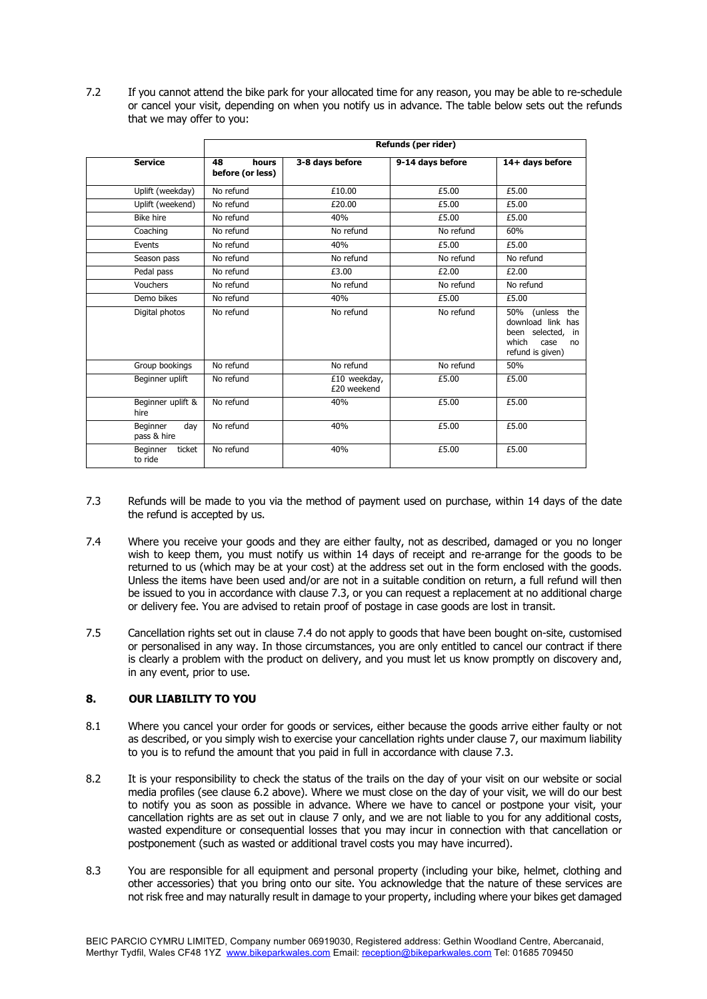7.2 If you cannot attend the bike park for your allocated time for any reason, you may be able to re-schedule or cancel your visit, depending on when you notify us in advance. The table below sets out the refunds that we may offer to you:

|                                | Refunds (per rider)             |                             |                  |                                                                                                            |  |
|--------------------------------|---------------------------------|-----------------------------|------------------|------------------------------------------------------------------------------------------------------------|--|
| <b>Service</b>                 | 48<br>hours<br>before (or less) | 3-8 days before             | 9-14 days before | 14+ days before                                                                                            |  |
| Uplift (weekday)               | No refund                       | £10.00                      | £5.00            | £5.00                                                                                                      |  |
| Uplift (weekend)               | No refund                       | £20.00                      | £5.00            | £5.00                                                                                                      |  |
| <b>Bike hire</b>               | No refund                       | 40%                         | £5.00            | £5.00                                                                                                      |  |
| Coaching                       | No refund                       | No refund                   | No refund        | 60%                                                                                                        |  |
| Events                         | No refund                       | 40%                         | £5.00            | £5.00                                                                                                      |  |
| Season pass                    | No refund                       | No refund                   | No refund        | No refund                                                                                                  |  |
| Pedal pass                     | No refund                       | £3.00                       | £2.00            | £2.00                                                                                                      |  |
| Vouchers                       | No refund                       | No refund                   | No refund        | No refund                                                                                                  |  |
| Demo bikes                     | No refund                       | 40%                         | £5.00            | £5.00                                                                                                      |  |
| Digital photos                 | No refund                       | No refund                   | No refund        | (unless<br>the<br>50%<br>download link has<br>been selected, in<br>which<br>case<br>no<br>refund is given) |  |
| Group bookings                 | No refund                       | No refund                   | No refund        | 50%                                                                                                        |  |
| Beginner uplift                | No refund                       | £10 weekday,<br>£20 weekend | £5.00            | £5.00                                                                                                      |  |
| Beginner uplift &<br>hire      | No refund                       | 40%                         | £5.00            | £5.00                                                                                                      |  |
| Beginner<br>day<br>pass & hire | No refund                       | 40%                         | £5.00            | £5.00                                                                                                      |  |
| Beginner<br>ticket<br>to ride  | No refund                       | 40%                         | £5.00            | £5.00                                                                                                      |  |

- 7.3 Refunds will be made to you via the method of payment used on purchase, within 14 days of the date the refund is accepted by us.
- 7.4 Where you receive your goods and they are either faulty, not as described, damaged or you no longer wish to keep them, you must notify us within 14 days of receipt and re-arrange for the goods to be returned to us (which may be at your cost) at the address set out in the form enclosed with the goods. Unless the items have been used and/or are not in a suitable condition on return, a full refund will then be issued to you in accordance with clause 7.3, or you can request a replacement at no additional charge or delivery fee. You are advised to retain proof of postage in case goods are lost in transit.
- 7.5 Cancellation rights set out in clause 7.4 do not apply to goods that have been bought on-site, customised or personalised in any way. In those circumstances, you are only entitled to cancel our contract if there is clearly a problem with the product on delivery, and you must let us know promptly on discovery and, in any event, prior to use.

# **8. OUR LIABILITY TO YOU**

- 8.1 Where you cancel your order for goods or services, either because the goods arrive either faulty or not as described, or you simply wish to exercise your cancellation rights under clause 7, our maximum liability to you is to refund the amount that you paid in full in accordance with clause 7.3.
- 8.2 It is your responsibility to check the status of the trails on the day of your visit on our website or social media profiles (see clause 6.2 above). Where we must close on the day of your visit, we will do our best to notify you as soon as possible in advance. Where we have to cancel or postpone your visit, your cancellation rights are as set out in clause 7 only, and we are not liable to you for any additional costs, wasted expenditure or consequential losses that you may incur in connection with that cancellation or postponement (such as wasted or additional travel costs you may have incurred).
- 8.3 You are responsible for all equipment and personal property (including your bike, helmet, clothing and other accessories) that you bring onto our site. You acknowledge that the nature of these services are not risk free and may naturally result in damage to your property, including where your bikes get damaged